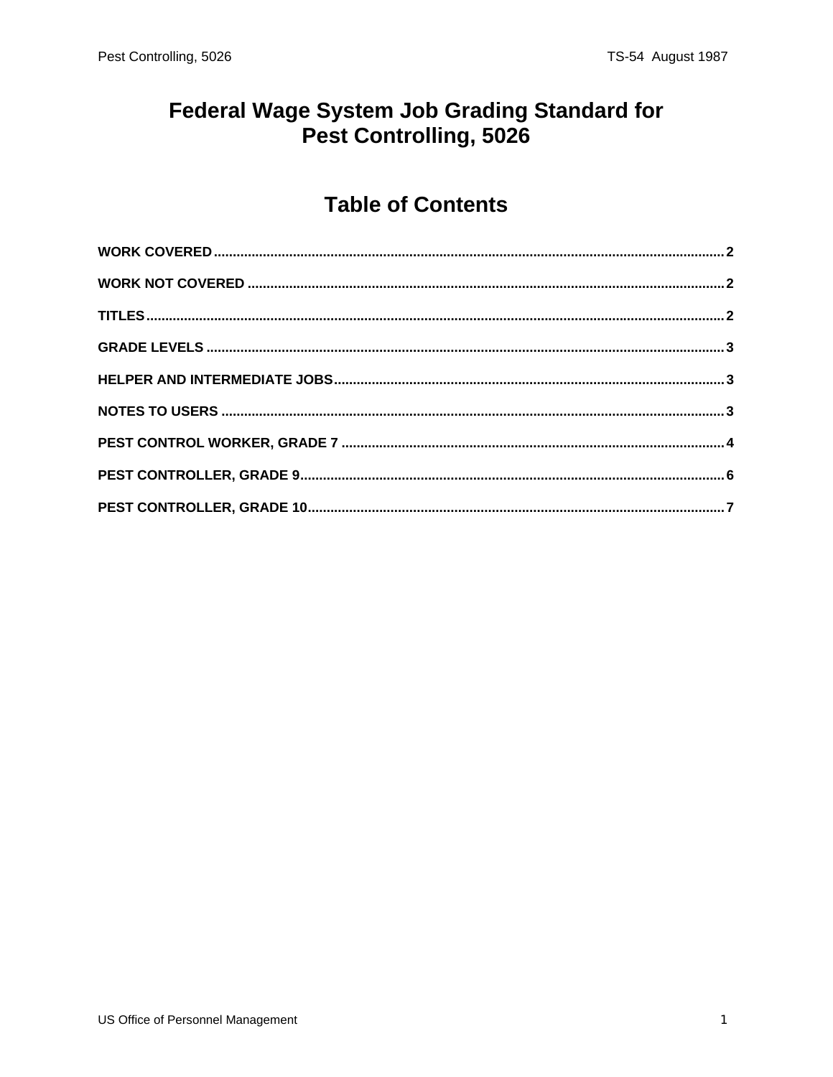#### **Federal Wage System Job Grading Standard for** Pest Controlling, 5026

#### **Table of Contents**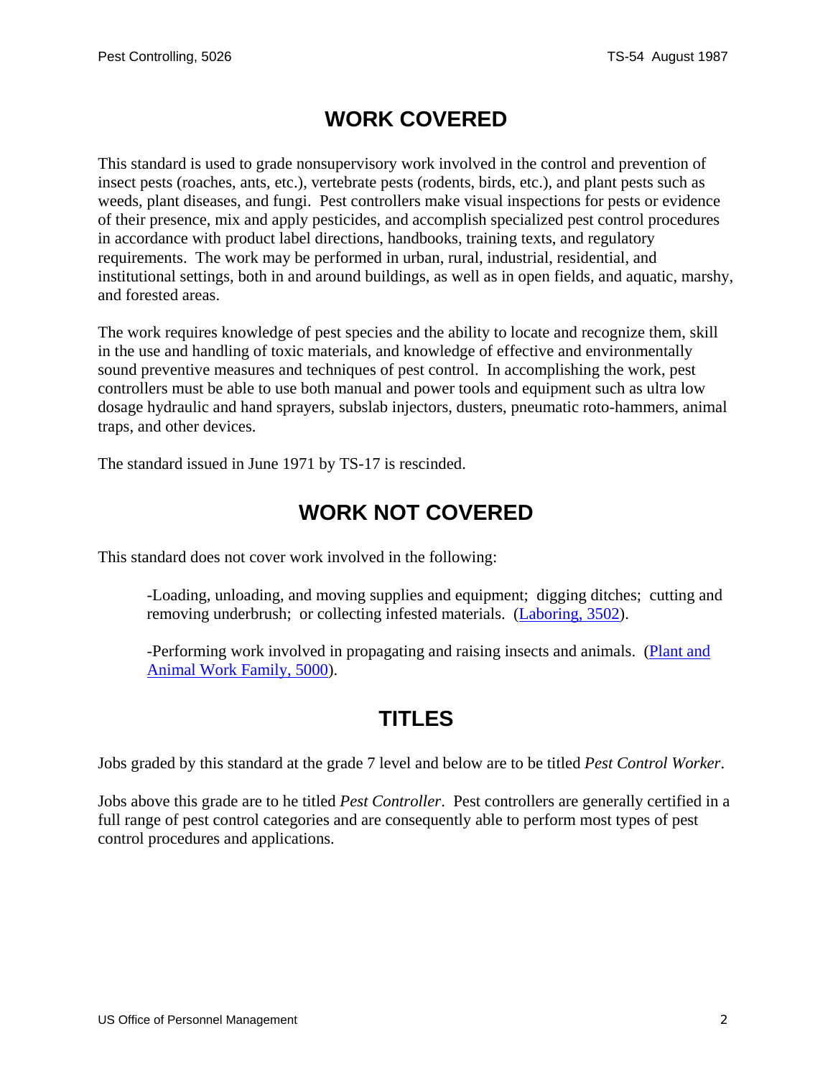## **WORK COVERED**

<span id="page-1-0"></span>This standard is used to grade nonsupervisory work involved in the control and prevention of insect pests (roaches, ants, etc.), vertebrate pests (rodents, birds, etc.), and plant pests such as weeds, plant diseases, and fungi. Pest controllers make visual inspections for pests or evidence of their presence, mix and apply pesticides, and accomplish specialized pest control procedures in accordance with product label directions, handbooks, training texts, and regulatory requirements. The work may be performed in urban, rural, industrial, residential, and institutional settings, both in and around buildings, as well as in open fields, and aquatic, marshy, and forested areas.

The work requires knowledge of pest species and the ability to locate and recognize them, skill in the use and handling of toxic materials, and knowledge of effective and environmentally sound preventive measures and techniques of pest control. In accomplishing the work, pest controllers must be able to use both manual and power tools and equipment such as ultra low dosage hydraulic and hand sprayers, subslab injectors, dusters, pneumatic roto-hammers, animal traps, and other devices.

The standard issued in June 1971 by TS-17 is rescinded.

### **WORK NOT COVERED**

This standard does not cover work involved in the following:

-Loading, unloading, and moving supplies and equipment; digging ditches; cutting and removing underbrush; or collecting infested materials. (Laboring, 3502).

-Performing work involved in propagating and raising insects and animals. (Plant and Animal Work Family, 5000).

### **TITLES**

Jobs graded by this standard at the grade 7 level and below are to be titled *Pest Control Worker*.

Jobs above this grade are to he titled *Pest Controller*. Pest controllers are generally certified in a full range of pest control categories and are consequently able to perform most types of pest control procedures and applications.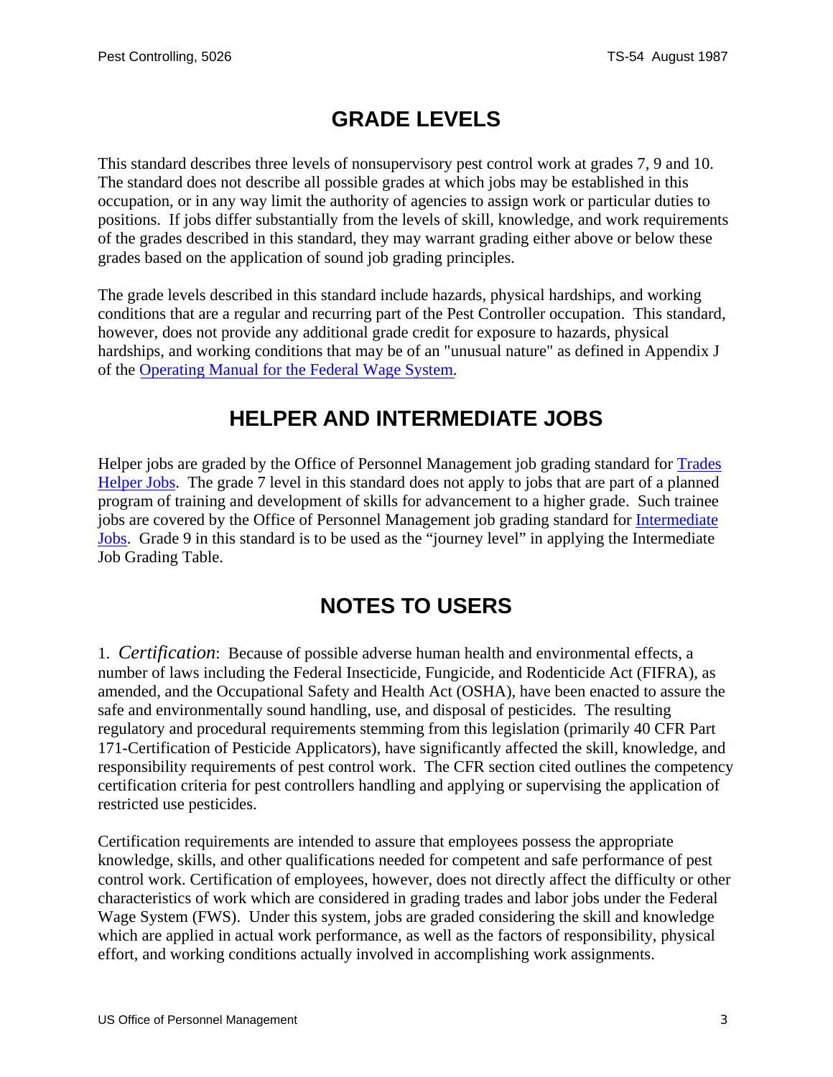## **GRADE LEVELS**

<span id="page-2-0"></span>This standard describes three levels of nonsupervisory pest control work at grades 7, 9 and 10. The standard does not describe all possible grades at which jobs may be established in this occupation, or in any way limit the authority of agencies to assign work or particular duties to positions. If jobs differ substantially from the levels of skill, knowledge, and work requirements of the grades described in this standard, they may warrant grading either above or below these grades based on the application of sound job grading principles.

The grade levels described in this standard include hazards, physical hardships, and working conditions that are a regular and recurring part of the Pest Controller occupation. This standard, however, does not provide any additional grade credit for exposure to hazards, physical hardships, and working conditions that may be of an "unusual nature" as defined in Appendix J of the [Operating Manual for the Federal Wage System.](http://www.opm.gov/oca/wage/index.asp)

### **HELPER AND INTERMEDIATE JOBS**

Helper jobs are graded by the Office of Personnel Management job grading standard for **Trades** Helper Jobs. The grade 7 level in this standard does not apply to jobs that are part of a planned program of training and development of skills for advancement to a higher grade. Such trainee jobs are covered by the Office of Personnel Management job grading standard for Intermediate Jobs. Grade 9 in this standard is to be used as the "journey level" in applying the Intermediate Job Grading Table.

### **NOTES TO USERS**

1. *Certification*: Because of possible adverse human health and environmental effects, a number of laws including the Federal Insecticide, Fungicide, and Rodenticide Act (FIFRA), as amended, and the Occupational Safety and Health Act (OSHA), have been enacted to assure the safe and environmentally sound handling, use, and disposal of pesticides. The resulting regulatory and procedural requirements stemming from this legislation (primarily 40 CFR Part 171-Certification of Pesticide Applicators), have significantly affected the skill, knowledge, and responsibility requirements of pest control work. The CFR section cited outlines the competency certification criteria for pest controllers handling and applying or supervising the application of restricted use pesticides.

Certification requirements are intended to assure that employees possess the appropriate knowledge, skills, and other qualifications needed for competent and safe performance of pest control work. Certification of employees, however, does not directly affect the difficulty or other characteristics of work which are considered in grading trades and labor jobs under the Federal Wage System (FWS). Under this system, jobs are graded considering the skill and knowledge which are applied in actual work performance, as well as the factors of responsibility, physical effort, and working conditions actually involved in accomplishing work assignments.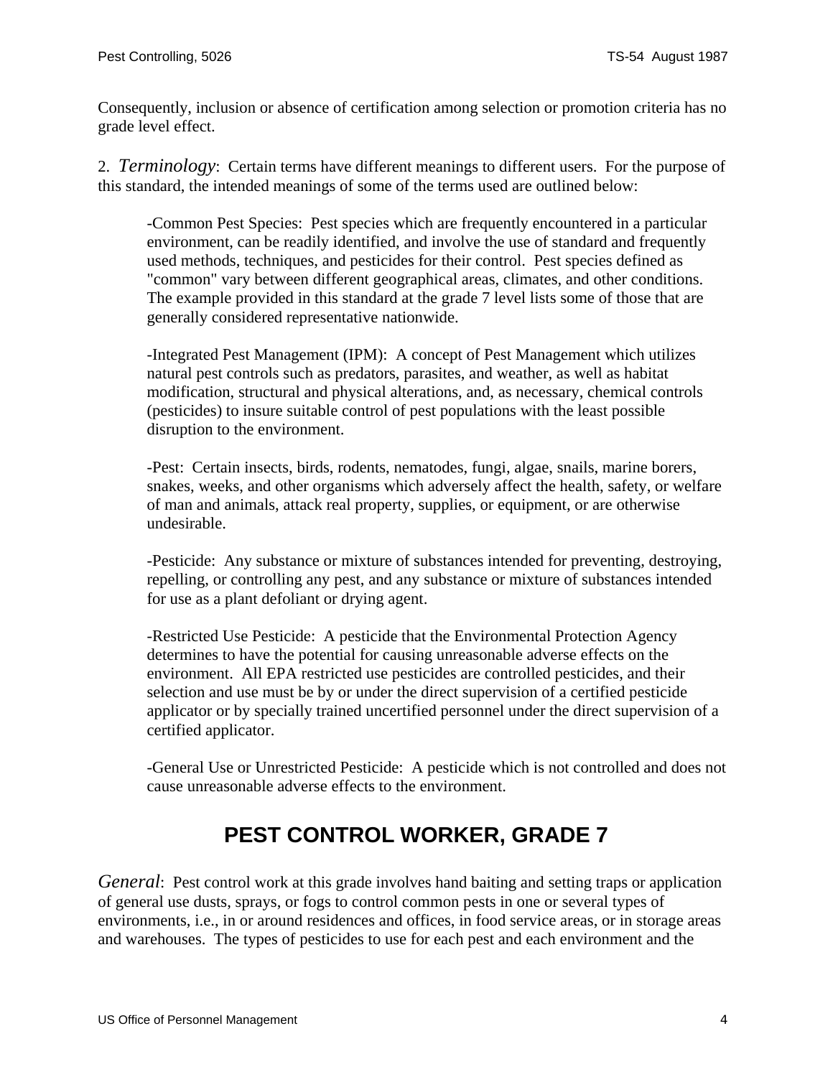<span id="page-3-0"></span>Consequently, inclusion or absence of certification among selection or promotion criteria has no grade level effect.

2. *Terminology*: Certain terms have different meanings to different users. For the purpose of this standard, the intended meanings of some of the terms used are outlined below:

-Common Pest Species: Pest species which are frequently encountered in a particular environment, can be readily identified, and involve the use of standard and frequently used methods, techniques, and pesticides for their control. Pest species defined as "common" vary between different geographical areas, climates, and other conditions. The example provided in this standard at the grade 7 level lists some of those that are generally considered representative nationwide.

-Integrated Pest Management (IPM): A concept of Pest Management which utilizes natural pest controls such as predators, parasites, and weather, as well as habitat modification, structural and physical alterations, and, as necessary, chemical controls (pesticides) to insure suitable control of pest populations with the least possible disruption to the environment.

-Pest: Certain insects, birds, rodents, nematodes, fungi, algae, snails, marine borers, snakes, weeks, and other organisms which adversely affect the health, safety, or welfare of man and animals, attack real property, supplies, or equipment, or are otherwise undesirable.

-Pesticide: Any substance or mixture of substances intended for preventing, destroying, repelling, or controlling any pest, and any substance or mixture of substances intended for use as a plant defoliant or drying agent.

-Restricted Use Pesticide: A pesticide that the Environmental Protection Agency determines to have the potential for causing unreasonable adverse effects on the environment. All EPA restricted use pesticides are controlled pesticides, and their selection and use must be by or under the direct supervision of a certified pesticide applicator or by specially trained uncertified personnel under the direct supervision of a certified applicator.

-General Use or Unrestricted Pesticide: A pesticide which is not controlled and does not cause unreasonable adverse effects to the environment.

# **PEST CONTROL WORKER, GRADE 7**

*General*: Pest control work at this grade involves hand baiting and setting traps or application of general use dusts, sprays, or fogs to control common pests in one or several types of environments, i.e., in or around residences and offices, in food service areas, or in storage areas and warehouses. The types of pesticides to use for each pest and each environment and the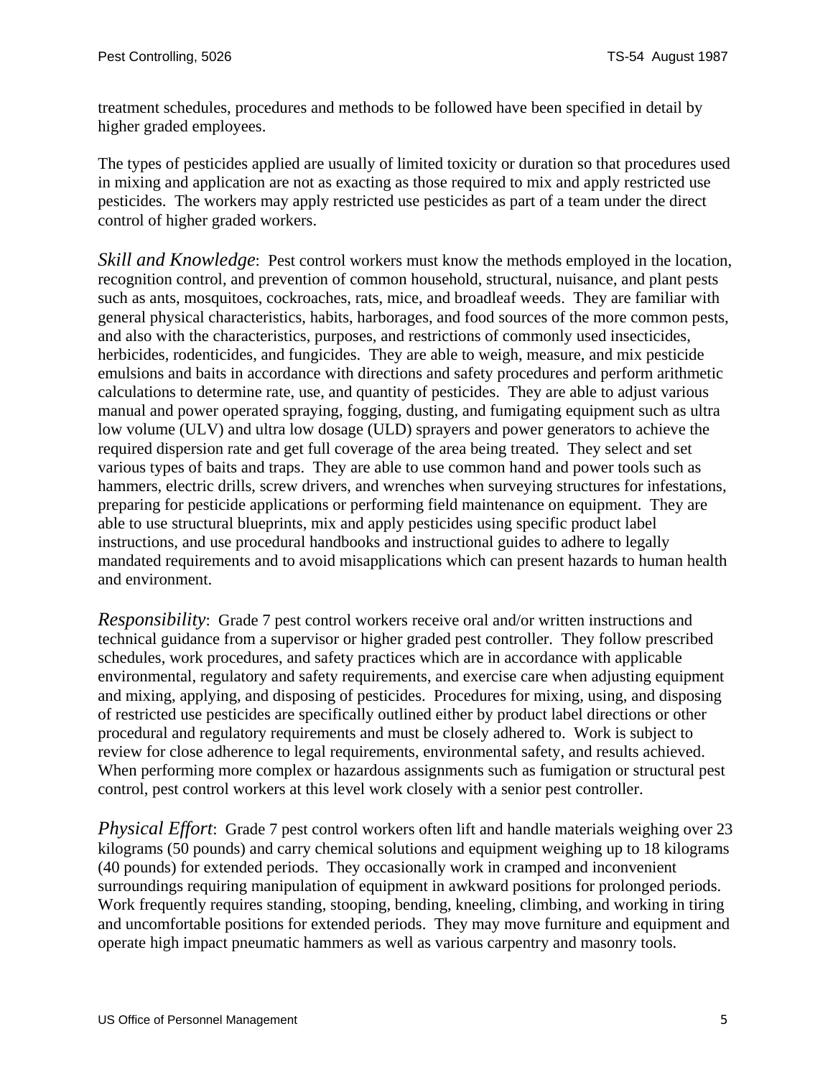treatment schedules, procedures and methods to be followed have been specified in detail by higher graded employees.

The types of pesticides applied are usually of limited toxicity or duration so that procedures used in mixing and application are not as exacting as those required to mix and apply restricted use pesticides. The workers may apply restricted use pesticides as part of a team under the direct control of higher graded workers.

*Skill and Knowledge*: Pest control workers must know the methods employed in the location, recognition control, and prevention of common household, structural, nuisance, and plant pests such as ants, mosquitoes, cockroaches, rats, mice, and broadleaf weeds. They are familiar with general physical characteristics, habits, harborages, and food sources of the more common pests, and also with the characteristics, purposes, and restrictions of commonly used insecticides, herbicides, rodenticides, and fungicides. They are able to weigh, measure, and mix pesticide emulsions and baits in accordance with directions and safety procedures and perform arithmetic calculations to determine rate, use, and quantity of pesticides. They are able to adjust various manual and power operated spraying, fogging, dusting, and fumigating equipment such as ultra low volume (ULV) and ultra low dosage (ULD) sprayers and power generators to achieve the required dispersion rate and get full coverage of the area being treated. They select and set various types of baits and traps. They are able to use common hand and power tools such as hammers, electric drills, screw drivers, and wrenches when surveying structures for infestations, preparing for pesticide applications or performing field maintenance on equipment. They are able to use structural blueprints, mix and apply pesticides using specific product label instructions, and use procedural handbooks and instructional guides to adhere to legally mandated requirements and to avoid misapplications which can present hazards to human health and environment.

*Responsibility*: Grade 7 pest control workers receive oral and/or written instructions and technical guidance from a supervisor or higher graded pest controller. They follow prescribed schedules, work procedures, and safety practices which are in accordance with applicable environmental, regulatory and safety requirements, and exercise care when adjusting equipment and mixing, applying, and disposing of pesticides. Procedures for mixing, using, and disposing of restricted use pesticides are specifically outlined either by product label directions or other procedural and regulatory requirements and must be closely adhered to. Work is subject to review for close adherence to legal requirements, environmental safety, and results achieved. When performing more complex or hazardous assignments such as fumigation or structural pest control, pest control workers at this level work closely with a senior pest controller.

*Physical Effort*: Grade 7 pest control workers often lift and handle materials weighing over 23 kilograms (50 pounds) and carry chemical solutions and equipment weighing up to 18 kilograms (40 pounds) for extended periods. They occasionally work in cramped and inconvenient surroundings requiring manipulation of equipment in awkward positions for prolonged periods. Work frequently requires standing, stooping, bending, kneeling, climbing, and working in tiring and uncomfortable positions for extended periods. They may move furniture and equipment and operate high impact pneumatic hammers as well as various carpentry and masonry tools.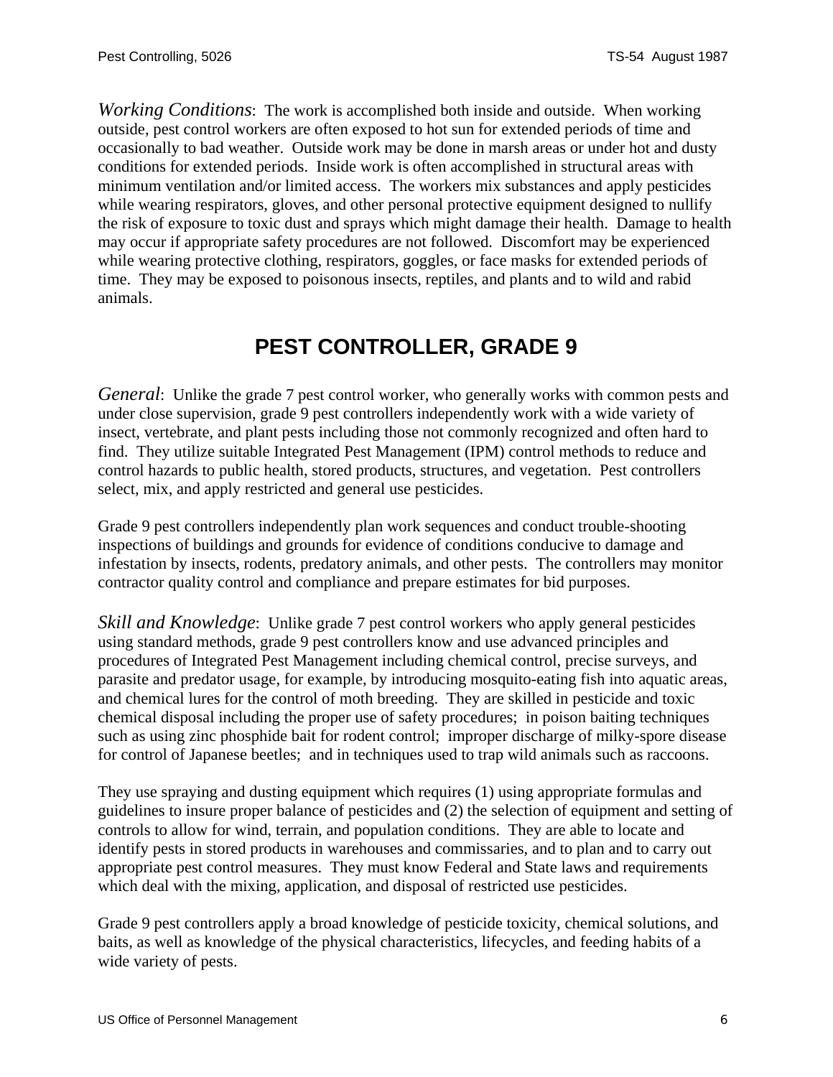<span id="page-5-0"></span>*Working Conditions*: The work is accomplished both inside and outside. When working outside, pest control workers are often exposed to hot sun for extended periods of time and occasionally to bad weather. Outside work may be done in marsh areas or under hot and dusty conditions for extended periods. Inside work is often accomplished in structural areas with minimum ventilation and/or limited access. The workers mix substances and apply pesticides while wearing respirators, gloves, and other personal protective equipment designed to nullify the risk of exposure to toxic dust and sprays which might damage their health. Damage to health may occur if appropriate safety procedures are not followed. Discomfort may be experienced while wearing protective clothing, respirators, goggles, or face masks for extended periods of time. They may be exposed to poisonous insects, reptiles, and plants and to wild and rabid animals.

#### **PEST CONTROLLER, GRADE 9**

*General*: Unlike the grade 7 pest control worker, who generally works with common pests and under close supervision, grade 9 pest controllers independently work with a wide variety of insect, vertebrate, and plant pests including those not commonly recognized and often hard to find. They utilize suitable Integrated Pest Management (IPM) control methods to reduce and control hazards to public health, stored products, structures, and vegetation. Pest controllers select, mix, and apply restricted and general use pesticides.

Grade 9 pest controllers independently plan work sequences and conduct trouble-shooting inspections of buildings and grounds for evidence of conditions conducive to damage and infestation by insects, rodents, predatory animals, and other pests. The controllers may monitor contractor quality control and compliance and prepare estimates for bid purposes.

*Skill and Knowledge*: Unlike grade 7 pest control workers who apply general pesticides using standard methods, grade 9 pest controllers know and use advanced principles and procedures of Integrated Pest Management including chemical control, precise surveys, and parasite and predator usage, for example, by introducing mosquito-eating fish into aquatic areas, and chemical lures for the control of moth breeding. They are skilled in pesticide and toxic chemical disposal including the proper use of safety procedures; in poison baiting techniques such as using zinc phosphide bait for rodent control; improper discharge of milky-spore disease for control of Japanese beetles; and in techniques used to trap wild animals such as raccoons.

They use spraying and dusting equipment which requires (1) using appropriate formulas and guidelines to insure proper balance of pesticides and (2) the selection of equipment and setting of controls to allow for wind, terrain, and population conditions. They are able to locate and identify pests in stored products in warehouses and commissaries, and to plan and to carry out appropriate pest control measures. They must know Federal and State laws and requirements which deal with the mixing, application, and disposal of restricted use pesticides.

Grade 9 pest controllers apply a broad knowledge of pesticide toxicity, chemical solutions, and baits, as well as knowledge of the physical characteristics, lifecycles, and feeding habits of a wide variety of pests.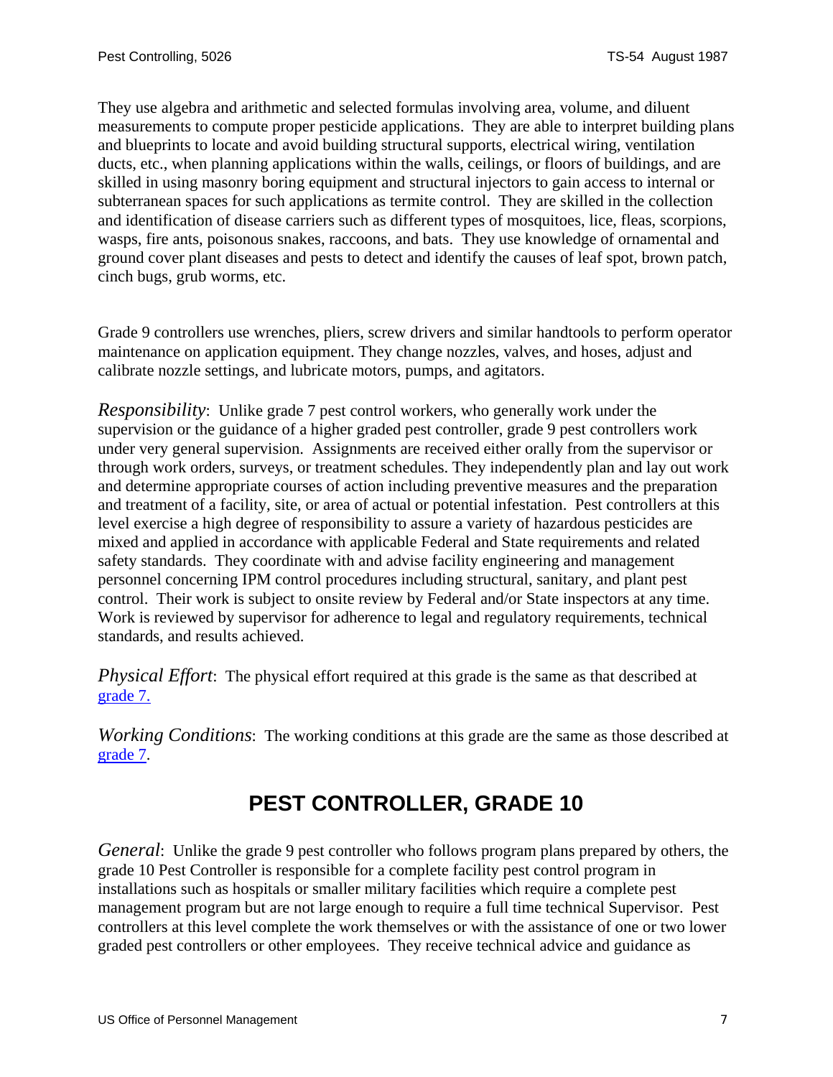<span id="page-6-0"></span>They use algebra and arithmetic and selected formulas involving area, volume, and diluent measurements to compute proper pesticide applications. They are able to interpret building plans and blueprints to locate and avoid building structural supports, electrical wiring, ventilation ducts, etc., when planning applications within the walls, ceilings, or floors of buildings, and are skilled in using masonry boring equipment and structural injectors to gain access to internal or subterranean spaces for such applications as termite control. They are skilled in the collection and identification of disease carriers such as different types of mosquitoes, lice, fleas, scorpions, wasps, fire ants, poisonous snakes, raccoons, and bats. They use knowledge of ornamental and ground cover plant diseases and pests to detect and identify the causes of leaf spot, brown patch, cinch bugs, grub worms, etc.

Grade 9 controllers use wrenches, pliers, screw drivers and similar handtools to perform operator maintenance on application equipment. They change nozzles, valves, and hoses, adjust and calibrate nozzle settings, and lubricate motors, pumps, and agitators.

*Responsibility*: Unlike grade 7 pest control workers, who generally work under the supervision or the guidance of a higher graded pest controller, grade 9 pest controllers work under very general supervision. Assignments are received either orally from the supervisor or through work orders, surveys, or treatment schedules. They independently plan and lay out work and determine appropriate courses of action including preventive measures and the preparation and treatment of a facility, site, or area of actual or potential infestation. Pest controllers at this level exercise a high degree of responsibility to assure a variety of hazardous pesticides are mixed and applied in accordance with applicable Federal and State requirements and related safety standards. They coordinate with and advise facility engineering and management personnel concerning IPM control procedures including structural, sanitary, and plant pest control. Their work is subject to onsite review by Federal and/or State inspectors at any time. Work is reviewed by supervisor for adherence to legal and regulatory requirements, technical standards, and results achieved.

*Physical Effort*: The physical effort required at this grade is the same as that described at [grade 7.](#page-3-0)

*Working Conditions*: The working conditions at this grade are the same as those described at [grade 7.](#page-3-0)

# **PEST CONTROLLER, GRADE 10**

*General*: Unlike the grade 9 pest controller who follows program plans prepared by others, the grade 10 Pest Controller is responsible for a complete facility pest control program in installations such as hospitals or smaller military facilities which require a complete pest management program but are not large enough to require a full time technical Supervisor. Pest controllers at this level complete the work themselves or with the assistance of one or two lower graded pest controllers or other employees. They receive technical advice and guidance as